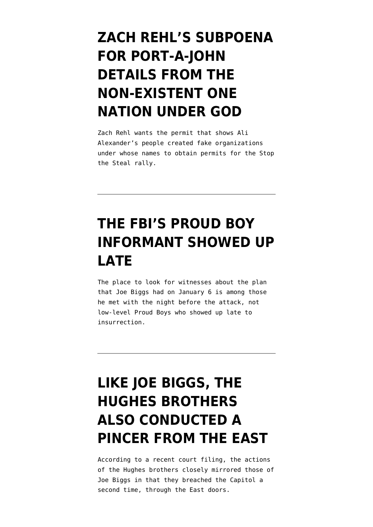### **[ZACH REHL'S SUBPOENA](https://www.emptywheel.net/2021/09/27/zach-rehls-subpoena-for-port-a-johns-from-the-non-existent-one-nation-under-god/) [FOR PORT-A-JOHN](https://www.emptywheel.net/2021/09/27/zach-rehls-subpoena-for-port-a-johns-from-the-non-existent-one-nation-under-god/) [DETAILS FROM THE](https://www.emptywheel.net/2021/09/27/zach-rehls-subpoena-for-port-a-johns-from-the-non-existent-one-nation-under-god/) [NON-EXISTENT ONE](https://www.emptywheel.net/2021/09/27/zach-rehls-subpoena-for-port-a-johns-from-the-non-existent-one-nation-under-god/) [NATION UNDER GOD](https://www.emptywheel.net/2021/09/27/zach-rehls-subpoena-for-port-a-johns-from-the-non-existent-one-nation-under-god/)**

Zach Rehl wants the permit that shows Ali Alexander's people created fake organizations under whose names to obtain permits for the Stop the Steal rally.

#### **[THE FBI'S PROUD BOY](https://www.emptywheel.net/2021/09/26/the-fbis-proud-boy-informant-showed-up-late/) [INFORMANT SHOWED UP](https://www.emptywheel.net/2021/09/26/the-fbis-proud-boy-informant-showed-up-late/) [LATE](https://www.emptywheel.net/2021/09/26/the-fbis-proud-boy-informant-showed-up-late/)**

The place to look for witnesses about the plan that Joe Biggs had on January 6 is among those he met with the night before the attack, not low-level Proud Boys who showed up late to insurrection.

# **[LIKE JOE BIGGS, THE](https://www.emptywheel.net/2021/09/23/like-joe-biggs-the-hughes-brothers-also-conducted-a-pincer-from-the-east/) [HUGHES BROTHERS](https://www.emptywheel.net/2021/09/23/like-joe-biggs-the-hughes-brothers-also-conducted-a-pincer-from-the-east/) [ALSO CONDUCTED A](https://www.emptywheel.net/2021/09/23/like-joe-biggs-the-hughes-brothers-also-conducted-a-pincer-from-the-east/) [PINCER FROM THE EAST](https://www.emptywheel.net/2021/09/23/like-joe-biggs-the-hughes-brothers-also-conducted-a-pincer-from-the-east/)**

According to a recent court filing, the actions of the Hughes brothers closely mirrored those of Joe Biggs in that they breached the Capitol a second time, through the East doors.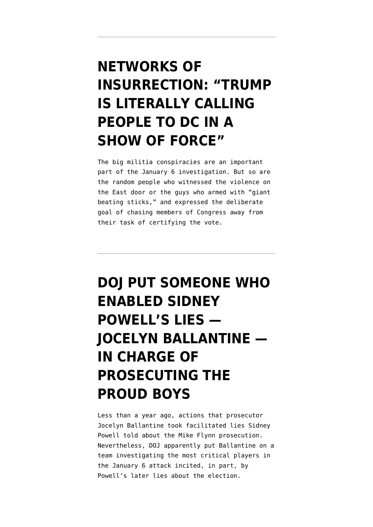## **[NETWORKS OF](https://www.emptywheel.net/2021/09/15/networks-of-insurrection-trump-is-literally-calling-people-to-dc-in-a-show-of-force/) [INSURRECTION: "TRUMP](https://www.emptywheel.net/2021/09/15/networks-of-insurrection-trump-is-literally-calling-people-to-dc-in-a-show-of-force/) [IS LITERALLY CALLING](https://www.emptywheel.net/2021/09/15/networks-of-insurrection-trump-is-literally-calling-people-to-dc-in-a-show-of-force/) [PEOPLE TO DC IN A](https://www.emptywheel.net/2021/09/15/networks-of-insurrection-trump-is-literally-calling-people-to-dc-in-a-show-of-force/) [SHOW OF FORCE"](https://www.emptywheel.net/2021/09/15/networks-of-insurrection-trump-is-literally-calling-people-to-dc-in-a-show-of-force/)**

The big militia conspiracies are an important part of the January 6 investigation. But so are the random people who witnessed the violence on the East door or the guys who armed with "giant beating sticks," and expressed the deliberate goal of chasing members of Congress away from their task of certifying the vote.

# **[DOJ PUT SOMEONE WHO](https://www.emptywheel.net/2021/09/14/doj-put-someone-who-enabled-sidney-powells-lies-jocelyn-ballantine-in-charge-of-prosecuting-the-proud-boys/) [ENABLED SIDNEY](https://www.emptywheel.net/2021/09/14/doj-put-someone-who-enabled-sidney-powells-lies-jocelyn-ballantine-in-charge-of-prosecuting-the-proud-boys/) [POWELL'S LIES —](https://www.emptywheel.net/2021/09/14/doj-put-someone-who-enabled-sidney-powells-lies-jocelyn-ballantine-in-charge-of-prosecuting-the-proud-boys/) [JOCELYN BALLANTINE —](https://www.emptywheel.net/2021/09/14/doj-put-someone-who-enabled-sidney-powells-lies-jocelyn-ballantine-in-charge-of-prosecuting-the-proud-boys/) [IN CHARGE OF](https://www.emptywheel.net/2021/09/14/doj-put-someone-who-enabled-sidney-powells-lies-jocelyn-ballantine-in-charge-of-prosecuting-the-proud-boys/) [PROSECUTING THE](https://www.emptywheel.net/2021/09/14/doj-put-someone-who-enabled-sidney-powells-lies-jocelyn-ballantine-in-charge-of-prosecuting-the-proud-boys/) [PROUD BOYS](https://www.emptywheel.net/2021/09/14/doj-put-someone-who-enabled-sidney-powells-lies-jocelyn-ballantine-in-charge-of-prosecuting-the-proud-boys/)**

Less than a year ago, actions that prosecutor Jocelyn Ballantine took facilitated lies Sidney Powell told about the Mike Flynn prosecution. Nevertheless, DOJ apparently put Ballantine on a team investigating the most critical players in the January 6 attack incited, in part, by Powell's later lies about the election.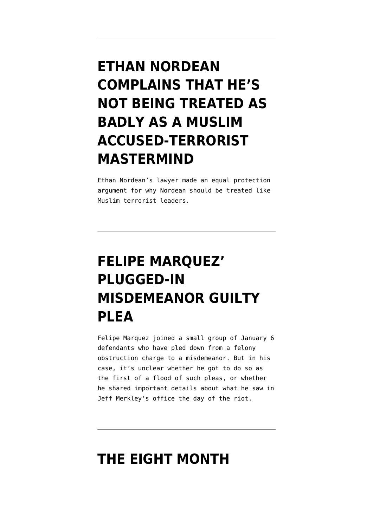# **[ETHAN NORDEAN](https://www.emptywheel.net/2021/09/13/ethan-nordean-complains-that-hes-not-being-treated-as-badly-as-a-muslim-accused-terrorist-mastermind/) [COMPLAINS THAT HE'S](https://www.emptywheel.net/2021/09/13/ethan-nordean-complains-that-hes-not-being-treated-as-badly-as-a-muslim-accused-terrorist-mastermind/) [NOT BEING TREATED AS](https://www.emptywheel.net/2021/09/13/ethan-nordean-complains-that-hes-not-being-treated-as-badly-as-a-muslim-accused-terrorist-mastermind/) [BADLY AS A MUSLIM](https://www.emptywheel.net/2021/09/13/ethan-nordean-complains-that-hes-not-being-treated-as-badly-as-a-muslim-accused-terrorist-mastermind/) [ACCUSED-TERRORIST](https://www.emptywheel.net/2021/09/13/ethan-nordean-complains-that-hes-not-being-treated-as-badly-as-a-muslim-accused-terrorist-mastermind/) [MASTERMIND](https://www.emptywheel.net/2021/09/13/ethan-nordean-complains-that-hes-not-being-treated-as-badly-as-a-muslim-accused-terrorist-mastermind/)**

Ethan Nordean's lawyer made an equal protection argument for why Nordean should be treated like Muslim terrorist leaders.

## **[FELIPE MARQUEZ'](https://www.emptywheel.net/2021/09/12/felipe-marquez-plugged-in-misdemeanor-guilty-plea/) [PLUGGED-IN](https://www.emptywheel.net/2021/09/12/felipe-marquez-plugged-in-misdemeanor-guilty-plea/) [MISDEMEANOR GUILTY](https://www.emptywheel.net/2021/09/12/felipe-marquez-plugged-in-misdemeanor-guilty-plea/) [PLEA](https://www.emptywheel.net/2021/09/12/felipe-marquez-plugged-in-misdemeanor-guilty-plea/)**

Felipe Marquez joined a small group of January 6 defendants who have pled down from a felony obstruction charge to a misdemeanor. But in his case, it's unclear whether he got to do so as the first of a flood of such pleas, or whether he shared important details about what he saw in Jeff Merkley's office the day of the riot.

#### **[THE EIGHT MONTH](https://www.emptywheel.net/2021/09/10/the-eight-month-investigation-into-the-january-6-investigation-didnt-end-in-march/)**